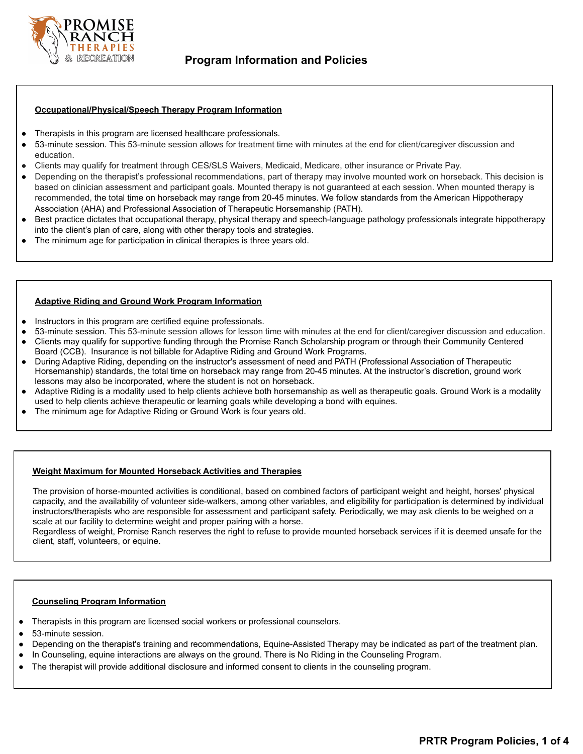

# **Occupational/Physical/Speech Therapy Program Information**

- Therapists in this program are licensed healthcare professionals.
- 53-minute session. This 53-minute session allows for treatment time with minutes at the end for client/caregiver discussion and education.
- Clients may qualify for treatment through CES/SLS Waivers, Medicaid, Medicare, other insurance or Private Pay.
- Depending on the therapist's professional recommendations, part of therapy may involve mounted work on horseback. This decision is based on clinician assessment and participant goals. Mounted therapy is not guaranteed at each session. When mounted therapy is recommended, the total time on horseback may range from 20-45 minutes. We follow standards from the American Hippotherapy Association (AHA) and Professional Association of Therapeutic Horsemanship (PATH).
- Best practice dictates that occupational therapy, physical therapy and speech-language pathology professionals integrate hippotherapy into the client's plan of care, along with other therapy tools and strategies.
- The minimum age for participation in clinical therapies is three years old.

# **Adaptive Riding and Ground Work Program Information**

- Instructors in this program are certified equine professionals.
- 53-minute session. This 53-minute session allows for lesson time with minutes at the end for client/caregiver discussion and education.
- Clients may qualify for supportive funding through the Promise Ranch Scholarship program or through their Community Centered Board (CCB). Insurance is not billable for Adaptive Riding and Ground Work Programs.
- During Adaptive Riding, depending on the instructor's assessment of need and PATH (Professional Association of Therapeutic Horsemanship) standards, the total time on horseback may range from 20-45 minutes. At the instructor's discretion, ground work lessons may also be incorporated, where the student is not on horseback.
- Adaptive Riding is a modality used to help clients achieve both horsemanship as well as therapeutic goals. Ground Work is a modality used to help clients achieve therapeutic or learning goals while developing a bond with equines.
- The minimum age for Adaptive Riding or Ground Work is four years old.

## **Weight Maximum for Mounted Horseback Activities and Therapies**

The provision of horse-mounted activities is conditional, based on combined factors of participant weight and height, horses' physical capacity, and the availability of volunteer side-walkers, among other variables, and eligibility for participation is determined by individual instructors/therapists who are responsible for assessment and participant safety. Periodically, we may ask clients to be weighed on a scale at our facility to determine weight and proper pairing with a horse.

Regardless of weight, Promise Ranch reserves the right to refuse to provide mounted horseback services if it is deemed unsafe for the client, staff, volunteers, or equine.

## **Counseling Program Information**

- Therapists in this program are licensed social workers or professional counselors.
- 53-minute session.
- Depending on the therapist's training and recommendations, Equine-Assisted Therapy may be indicated as part of the treatment plan.
- In Counseling, equine interactions are always on the ground. There is No Riding in the Counseling Program.
- The therapist will provide additional disclosure and informed consent to clients in the counseling program.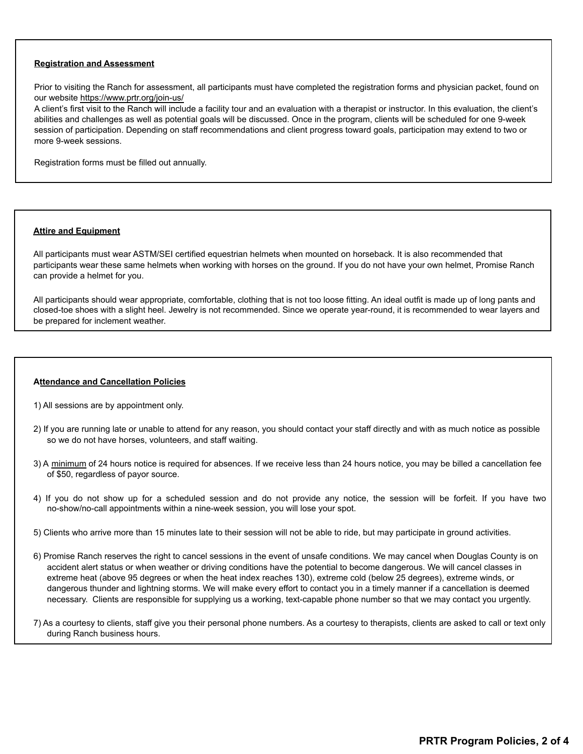## **Registration and Assessment**

Prior to visiting the Ranch for assessment, all participants must have completed the registration forms and physician packet, found on our website https://www.prtr.org/join-us/

A client's first visit to the Ranch will include a facility tour and an evaluation with a therapist or instructor. In this evaluation, the client's abilities and challenges as well as potential goals will be discussed. Once in the program, clients will be scheduled for one 9-week session of participation. Depending on staff recommendations and client progress toward goals, participation may extend to two or more 9-week sessions.

Registration forms must be filled out annually.

## **Attire and Equipment**

All participants must wear ASTM/SEI certified equestrian helmets when mounted on horseback. It is also recommended that participants wear these same helmets when working with horses on the ground. If you do not have your own helmet, Promise Ranch can provide a helmet for you.

All participants should wear appropriate, comfortable, clothing that is not too loose fitting. An ideal outfit is made up of long pants and closed-toe shoes with a slight heel. Jewelry is not recommended. Since we operate year-round, it is recommended to wear layers and be prepared for inclement weather.

#### **Attendance and Cancellation Policies**

- 1) All sessions are by appointment only.
- 2) If you are running late or unable to attend for any reason, you should contact your staff directly and with as much notice as possible so we do not have horses, volunteers, and staff waiting.
- 3) A minimum of 24 hours notice is required for absences. If we receive less than 24 hours notice, you may be billed a cancellation fee of \$50, regardless of payor source.
- 4) If you do not show up for a scheduled session and do not provide any notice, the session will be forfeit. If you have two no-show/no-call appointments within a nine-week session, you will lose your spot.
- 5) Clients who arrive more than 15 minutes late to their session will not be able to ride, but may participate in ground activities.
- 6) Promise Ranch reserves the right to cancel sessions in the event of unsafe conditions. We may cancel when Douglas County is on accident alert status or when weather or driving conditions have the potential to become dangerous. We will cancel classes in extreme heat (above 95 degrees or when the heat index reaches 130), extreme cold (below 25 degrees), extreme winds, or dangerous thunder and lightning storms. We will make every effort to contact you in a timely manner if a cancellation is deemed necessary. Clients are responsible for supplying us a working, text-capable phone number so that we may contact you urgently.

7) As a courtesy to clients, staff give you their personal phone numbers. As a courtesy to therapists, clients are asked to call or text only during Ranch business hours.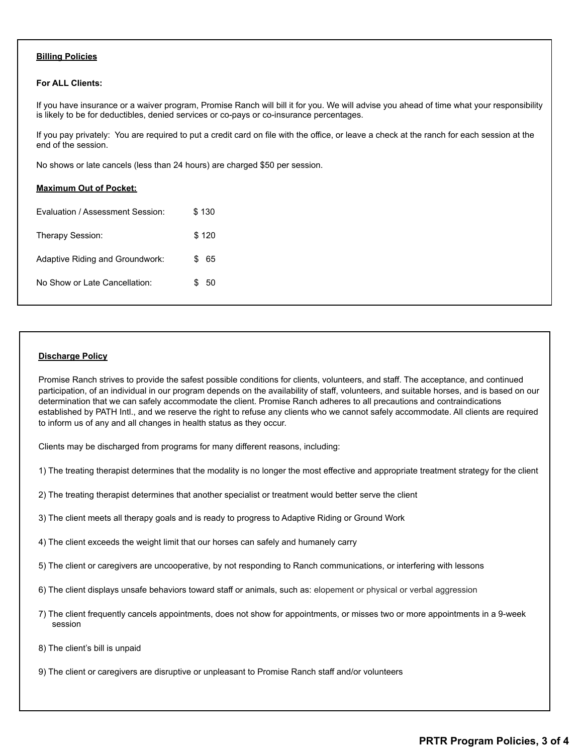## **Billing Policies**

### **For ALL Clients:**

**Maximum Out of Pocket:**

If you have insurance or a waiver program, Promise Ranch will bill it for you. We will advise you ahead of time what your responsibility is likely to be for deductibles, denied services or co-pays or co-insurance percentages.

If you pay privately: You are required to put a credit card on file with the office, or leave a check at the ranch for each session at the end of the session.

No shows or late cancels (less than 24 hours) are charged \$50 per session.

| Evaluation / Assessment Session: | \$130 |
|----------------------------------|-------|
| <b>Therapy Session:</b>          | \$120 |
| Adaptive Riding and Groundwork:  | 65    |
| No Show or Late Cancellation:    | 50    |

# **Discharge Policy**

Promise Ranch strives to provide the safest possible conditions for clients, volunteers, and staff. The acceptance, and continued participation, of an individual in our program depends on the availability of staff, volunteers, and suitable horses, and is based on our determination that we can safely accommodate the client. Promise Ranch adheres to all precautions and contraindications established by PATH Intl., and we reserve the right to refuse any clients who we cannot safely accommodate. All clients are required to inform us of any and all changes in health status as they occur.

Clients may be discharged from programs for many different reasons, including:

1) The treating therapist determines that the modality is no longer the most effective and appropriate treatment strategy for the client

2) The treating therapist determines that another specialist or treatment would better serve the client

3) The client meets all therapy goals and is ready to progress to Adaptive Riding or Ground Work

4) The client exceeds the weight limit that our horses can safely and humanely carry

5) The client or caregivers are uncooperative, by not responding to Ranch communications, or interfering with lessons

6) The client displays unsafe behaviors toward staff or animals, such as: elopement or physical or verbal aggression

- 7) The client frequently cancels appointments, does not show for appointments, or misses two or more appointments in a 9-week session
- 8) The client's bill is unpaid
- 9) The client or caregivers are disruptive or unpleasant to Promise Ranch staff and/or volunteers